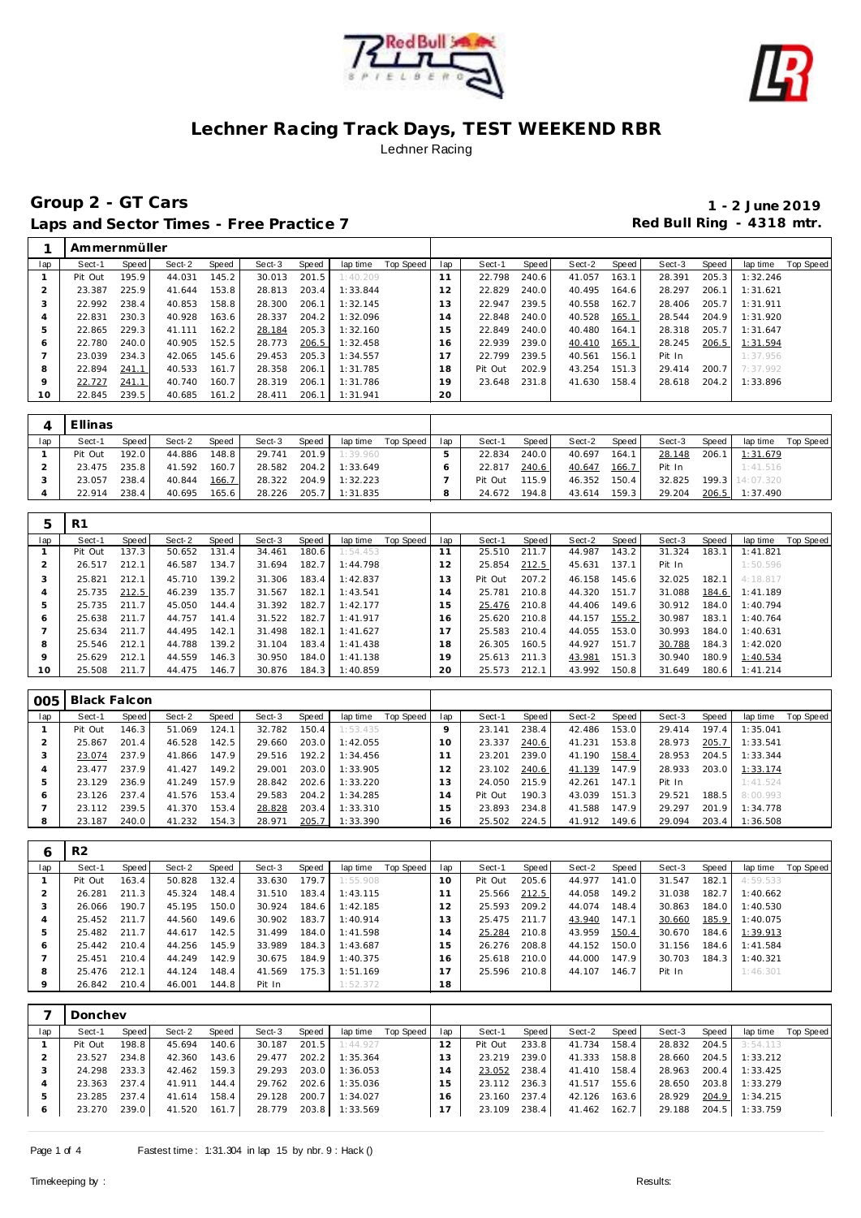



# **Group 2 - GT Cars 1 - 2 June 2019** Laps and Sector Times - Free Practice 7 **Red Bull Ring - 4318 mtr.**

|                | Ammernmüller |       |        |       |        |       |          |           |                |         |       |        |       |        |       |          |                  |
|----------------|--------------|-------|--------|-------|--------|-------|----------|-----------|----------------|---------|-------|--------|-------|--------|-------|----------|------------------|
| lap            | Sect-1       | Speed | Sect-2 | Speed | Sect-3 | Speed | lap time | Top Speed | lap            | Sect-1  | Speed | Sect-2 | Speed | Sect-3 | Speed | lap time | <b>Top Speed</b> |
|                | Pit Out      | 195.9 | 44.031 | 145.2 | 30.013 | 201.5 | 1:40.209 |           | 11             | 22.798  | 240.6 | 41.057 | 163.1 | 28.391 | 205.3 | 1:32.246 |                  |
| $\overline{2}$ | 23.387       | 225.9 | 41.644 | 153.8 | 28.813 | 203.4 | 1:33.844 |           | 12             | 22.829  | 240.0 | 40.495 | 164.6 | 28.297 | 206.1 | 1:31.621 |                  |
| 3              | 22.992       | 238.4 | 40.853 | 158.8 | 28.300 | 206.1 | 1:32.145 |           | 13             | 22.947  | 239.5 | 40.558 | 162.7 | 28.406 | 205.7 | 1:31.911 |                  |
| 4              | 22.831       | 230.3 | 40.928 | 163.6 | 28.337 | 204.2 | 1:32.096 |           | $\overline{4}$ | 22.848  | 240.0 | 40.528 | 165.1 | 28.544 | 204.9 | 1:31.920 |                  |
| 5              | 22.865       | 229.3 | 41.111 | 162.2 | 28.184 | 205.3 | 1:32.160 |           | 5              | 22.849  | 240.0 | 40.480 | 164.1 | 28.318 | 205.7 | 1:31.647 |                  |
| Ô              | 22.780       | 240.0 | 40.905 | 152.5 | 28.773 | 206.5 | 1:32.458 |           | 16             | 22.939  | 239.0 | 40.410 | 165.1 | 28.245 | 206.5 | 1:31.594 |                  |
|                | 23.039       | 234.3 | 42.065 | 145.6 | 29.453 | 205.3 | 1:34.557 |           | 17             | 22.799  | 239.5 | 40.561 | 156.1 | Pit In |       | 1:37.956 |                  |
| 8              | 22.894       | 241.1 | 40.533 | 161.7 | 28.358 | 206.1 | 1:31.785 |           | 18             | Pit Out | 202.9 | 43.254 | 151.3 | 29.414 | 200.7 | 7:37.992 |                  |
| 9              | 22.727       | 241.1 | 40.740 | 160.7 | 28.319 | 206.1 | 1:31.786 |           | 19             | 23.648  | 231.8 | 41.630 | 158.4 | 28.618 | 204.2 | 1:33.896 |                  |
| 10             | 22.845       | 239.5 | 40.685 | 161.2 | 28.411 | 206.1 | 1:31.941 |           | 20             |         |       |        |       |        |       |          |                  |

|     | Ellinas |       |        |              |        |       |          |           |     |         |       |        |       |        |       |                 |           |
|-----|---------|-------|--------|--------------|--------|-------|----------|-----------|-----|---------|-------|--------|-------|--------|-------|-----------------|-----------|
| lap | Sect-1  | Speed | Sect-2 | <b>Speed</b> | Sect-3 | Speed | lap time | Top Speed | lap | Sect-1  | Speed | Sect-2 | Speed | Sect-3 | Speed | lap time        | Top Speed |
|     | Pit Out | 192.0 | 44.886 | 148.8        | 29.741 | 201.9 | 1:39.960 |           |     | 22.834  | 240.0 | 40.697 | 164.1 | 28.148 | 206.1 | 1:31.679        |           |
|     | 23.475  | 235.8 | 41.592 | 160.7        | 28.582 | 204.2 | 1:33.649 |           |     | 22.817  | 240.6 | 40.647 | 166.7 | Pit In |       | 1:41.516        |           |
|     | 23.057  | 238.4 | 40.844 | 166.7        | 28.322 | 204.9 | 1:32.223 |           |     | Pit Out | 115.9 | 46.352 | 150.4 | 32.825 |       | 199.3 14:07.320 |           |
|     | 22.914  | 238.4 | 40.695 | 165.6        | 28.226 | 205.7 | 1:31.835 |           |     | 24.672  | 194.8 | 43.614 | 159.3 | 29.204 | 206.5 | 1:37.490        |           |

| 5   | R <sub>1</sub> |       |        |       |        |       |          |           |     |         |       |        |       |        |       |          |           |
|-----|----------------|-------|--------|-------|--------|-------|----------|-----------|-----|---------|-------|--------|-------|--------|-------|----------|-----------|
| lap | Sect-1         | Speed | Sect-2 | Speed | Sect-3 | Speed | lap time | Top Speed | lap | Sect-1  | Speed | Sect-2 | Speed | Sect-3 | Speed | lap time | Top Speed |
|     | Pit Out        | 137.3 | 50.652 | 131.4 | 34.461 | 180.6 | 1:54.453 |           |     | 25.510  | 211.7 | 44.987 | 143.2 | 31.324 | 183.1 | 1:41.821 |           |
| 2   | 26.517         | 212.1 | 46.587 | 134.7 | 31.694 | 182.7 | 1:44.798 |           | 12  | 25.854  | 212.5 | 45.631 | 137.1 | Pit In |       | 1:50.596 |           |
| 3   | 25.821         | 212.1 | 45.710 | 139.2 | 31.306 | 183.4 | 1:42.837 |           | 13  | Pit Out | 207.2 | 46.158 | 145.6 | 32.025 | 182.1 | 4:18.817 |           |
| 4   | 25.735         | 212.5 | 46.239 | 135.7 | 31.567 | 182.1 | 1:43.541 |           | 4   | 25.781  | 210.8 | 44.320 | 151.7 | 31.088 | 184.6 | 1:41.189 |           |
| 5   | 25.735         | 211.7 | 45.050 | 144.4 | 31.392 | 182.7 | 1:42.177 |           | 15  | 25.476  | 210.8 | 44.406 | 149.6 | 30.912 | 184.0 | 1:40.794 |           |
| 6   | 25.638         | 211.7 | 44.757 | 141.4 | 31.522 | 182.7 | 1:41.917 |           | 16  | 25.620  | 210.8 | 44.157 | 155.2 | 30.987 | 183.1 | 1:40.764 |           |
|     | 25.634         | 211.7 | 44.495 | 142.1 | 31.498 | 182.1 | 1:41.627 |           |     | 25.583  | 210.4 | 44.055 | 153.0 | 30.993 | 184.0 | 1:40.631 |           |
| 8   | 25.546         | 212.1 | 44.788 | 139.2 | 31.104 | 183.4 | 1:41.438 |           | 18  | 26.305  | 160.5 | 44.927 | 151.7 | 30.788 | 184.3 | 1:42.020 |           |
| 9   | 25.629         | 212.1 | 44.559 | 146.3 | 30.950 | 184.0 | 1:41.138 |           | 19  | 25.613  | 211.3 | 43.981 | 151.3 | 30.940 | 180.9 | 1:40.534 |           |
| 10  | 25.508         | 211.7 | 44.475 | 146.7 | 30.876 | 184.3 | 1:40.859 |           | 20  | 25.573  | 212.1 | 43.992 | 150.8 | 31.649 | 180.6 | 1:41.214 |           |

| 005 | Black Falcon |       |        |       |        |       |          |           |     |         |       |        |       |        |       |          |                  |
|-----|--------------|-------|--------|-------|--------|-------|----------|-----------|-----|---------|-------|--------|-------|--------|-------|----------|------------------|
| lap | Sect-1       | Speed | Sect-2 | Speed | Sect-3 | Speed | lap time | Top Speed | lap | Sect-1  | Speed | Sect-2 | Speed | Sect-3 | Speed | lap time | <b>Top Speed</b> |
|     | Pit Out      | 146.3 | 51.069 | 124.1 | 32.782 | 150.4 | 1:53.435 |           |     | 23.141  | 238.4 | 42.486 | 153.0 | 29.414 | 197.4 | 1:35.041 |                  |
|     | 25.867       | 201.4 | 46.528 | 142.5 | 29.660 | 203.0 | 1:42.055 |           | 10. | 23.337  | 240.6 | 41.231 | 153.8 | 28.973 | 205.7 | 1:33.541 |                  |
|     | 23.074       | 237.9 | 41.866 | 147.9 | 29.516 | 192.2 | 1:34.456 |           |     | 23.201  | 239.0 | 41.190 | 158.4 | 28.953 | 204.5 | 1:33.344 |                  |
|     | 23.477       | 237.9 | 41.427 | 149.2 | 29.001 | 203.0 | 1:33.905 |           |     | 23.102  | 240.6 | 41.139 | 147.9 | 28.933 | 203.0 | 1:33.174 |                  |
| h   | 23.129       | 236.9 | 41.249 | 157.9 | 28.842 | 202.6 | 1:33.220 |           |     | 24.050  | 215.9 | 42.261 | 147.1 | Pit In |       | 1:41.524 |                  |
| O   | 23.126       | 237.4 | 41.576 | 153.4 | 29.583 | 204.2 | 1:34.285 |           | 4   | Pit Out | 190.3 | 43.039 | 151.3 | 29.521 | 188.5 | 8:00.993 |                  |
|     | 23.112       | 239.5 | 41.370 | 153.4 | 28.828 | 203.4 | 1:33.310 |           |     | 23.893  | 234.8 | 41.588 | 147.9 | 29.297 | 201.9 | 1:34.778 |                  |
| 8   | 23.187       | 240.0 | 41.232 | 154.3 | 28.971 | 205.7 | 1:33.390 |           | 16  | 25.502  | 224.5 | 41.912 | 149.6 | 29.094 | 203.4 | 1:36.508 |                  |

| 6   | R <sub>2</sub> |       |        |       |        |       |          |           |                |         |         |        |       |        |       |          |           |
|-----|----------------|-------|--------|-------|--------|-------|----------|-----------|----------------|---------|---------|--------|-------|--------|-------|----------|-----------|
| lap | Sect-1         | Speed | Sect-2 | Speed | Sect-3 | Speed | lap time | Top Speed | lap            | Sect-1  | Speed I | Sect-2 | Speed | Sect-3 | Speed | lap time | Top Speed |
|     | Pit Out        | 163.4 | 50.828 | 132.4 | 33.630 | 179.7 | 1:55.908 |           | $10^{-}$       | Pit Out | 205.6   | 44.977 | 141.0 | 31.547 | 182.1 | 4:59.533 |           |
|     | 26.281         | 211.3 | 45.324 | 148.4 | 31.510 | 183.4 | 1:43.115 |           |                | 25.566  | 212.5   | 44.058 | 149.2 | 31.038 | 182.7 | 1:40.662 |           |
|     | 26.066         | 190.7 | 45.195 | 150.0 | 30.924 | 184.6 | 1:42.185 |           | 2              | 25.593  | 209.2   | 44.074 | 148.4 | 30.863 | 184.0 | 1:40.530 |           |
| 4   | 25.452         | 211.7 | 44.560 | 149.6 | 30.902 | 183.7 | 1:40.914 |           | 3              | 25.475  | 211.7   | 43.940 | 147.1 | 30.660 | 185.9 | 1:40.075 |           |
| 5   | 25.482         | 211.7 | 44.617 | 142.5 | 31.499 | 184.0 | 1:41.598 |           | $\overline{a}$ | 25.284  | 210.8   | 43.959 | 150.4 | 30.670 | 184.6 | 1:39.913 |           |
| 6   | 25.442         | 210.4 | 44.256 | 145.9 | 33.989 | 184.3 | 1:43.687 |           | 15             | 26.276  | 208.8   | 44.152 | 150.0 | 31.156 | 184.6 | 1:41.584 |           |
|     | 25.451         | 210.4 | 44.249 | 142.9 | 30.675 | 184.9 | 1:40.375 |           | 16             | 25.618  | 210.0   | 44.000 | 147.9 | 30.703 | 184.3 | 1:40.321 |           |
| 8   | 25.476         | 212.1 | 44.124 | 148.4 | 41.569 | 175.3 | 1:51.169 |           |                | 25.596  | 210.8   | 44.107 | 146.7 | Pit In |       | 1:46.301 |           |
| 9   | 26.842         | 210.4 | 46.001 | 144.8 | Pit In |       | 1:52.372 |           | 18             |         |         |        |       |        |       |          |           |

|              | Donchev |       |        |       |        |         |          |           |     |         |       |        |       |        |         |                |           |
|--------------|---------|-------|--------|-------|--------|---------|----------|-----------|-----|---------|-------|--------|-------|--------|---------|----------------|-----------|
| lap          | Sect-1  | Speed | Sect-2 | Speed | Sect-3 | Speed   | lap time | Top Speed | lap | Sect-1  | Speed | Sect-2 | Speed | Sect-3 | Speed   | lap time       | Top Speed |
|              | Pit Out | 198.8 | 45.694 | 140.6 | 30.187 | 201.5   | 1:44.927 |           |     | Pit Out | 233.8 | 41.734 | 158.4 | 28.832 | 204.5   | 3:54.113       |           |
|              | 23.527  | 234.8 | 42.360 | 143.6 | 29.477 | $202.2$ | 1:35.364 |           |     | 23.219  | 239.0 | 41.333 | 158.8 | 28.660 | $204.5$ | 1:33.212       |           |
|              | 24.298  | 233.3 | 42.462 | 159.3 | 29.293 | 203.0   | 1:36.053 |           | l 4 | 23.052  | 238.4 | 41.410 | 158.4 | 28.963 | 200.4   | 1:33.425       |           |
|              | 23.363  | 237.4 | 41.911 | 144.4 | 29.762 | 202.6   | 1:35.036 |           | 15  | 23.112  | 236.3 | 41.517 | 155.6 | 28.650 | 203.8   | 1:33.279       |           |
|              | 23.285  | 237.4 | 41.614 | 158.4 | 29.128 | 200.7   | 1:34.027 |           | 16. | 23.160  | 237.4 | 42.126 | 163.6 | 28.929 | 204.9   | 1:34.215       |           |
| <sub>6</sub> | 23.270  | 239.0 | 41.520 | 161.7 | 28.779 | 203.8   | 1:33.569 |           |     | 23.109  | 238.4 | 41.462 | 162.7 | 29.188 |         | 204.5 1:33.759 |           |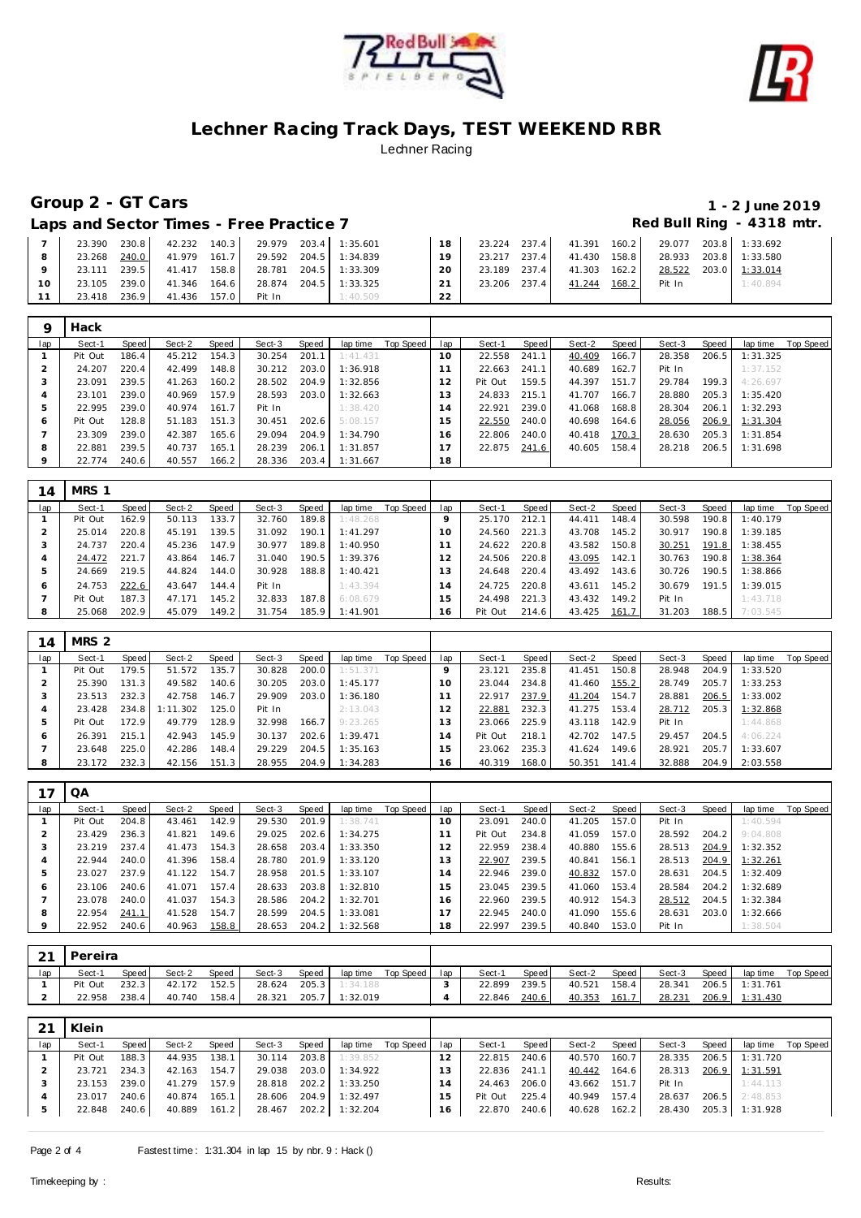



# **Group 2 - GT Cars 1 - 2 June 2019**

### Laps and Sector Times - Free Practice 7 **Access 20 Access 20 Access 20 Access 20 Access 20 Access 20 Access 20 Access** 20 Access 20 Access 20 Access 20 Access 20 Access 20 Access 20 Access 20 Access 20 Access 20 Access 20

|          | 23.390 | 230.8  | 42.232 | 140.3 | 29.979 |       | 203.4 1:35.601        | 18 | 23.224 | 237.4 | 41.391       | 160.2 |        | 29.077 203.8 1:33.692 |
|----------|--------|--------|--------|-------|--------|-------|-----------------------|----|--------|-------|--------------|-------|--------|-----------------------|
|          | 23.268 | 240.0  | 41.979 | 161.7 |        |       | 29.592 204.5 1:34.839 | 19 | 23.217 | 237.4 | 41.430 158.8 |       | 28.933 | 203.8 1:33.580        |
|          | 23.111 | 239.5  | 41.417 | 158.8 |        |       | 28.781 204.5 1:33.309 | 20 | 23.189 | 237.4 | 41.303       | 162.2 | 28.522 | 203.0 1:33.014        |
| $10^{-}$ | 23.105 | 239.01 | 41.346 | 164.6 | 28.874 | 204.5 | 1:33.325              | 21 | 23.206 | 237.4 | 41.244       | 168.2 | Pit In | 1:40.894              |
|          | 23.418 | 236.9  | 41.436 | 157.0 | Pit In |       | 1:40.509              | ົາ |        |       |              |       |        |                       |

| Q       | Hack    |       |        |       |        |       |          |           |     |         |       |        |       |        |       |                       |
|---------|---------|-------|--------|-------|--------|-------|----------|-----------|-----|---------|-------|--------|-------|--------|-------|-----------------------|
| lap     | Sect-1  | Speed | Sect-2 | Speed | Sect-3 | Speed | lap time | Top Speed | lap | Sect-1  | Speed | Sect-2 | Speed | Sect-3 | Speed | Top Speed<br>lap time |
|         | Pit Out | 186.4 | 45.212 | 154.3 | 30.254 | 201.1 | 1:41.431 |           | 10  | 22.558  | 241.1 | 40.409 | 166.7 | 28.358 | 206.5 | 1:31.325              |
|         | 24.207  | 220.4 | 42.499 | 148.8 | 30.212 | 203.0 | 1:36.918 |           |     | 22.663  | 241.1 | 40.689 | 162.7 | Pit In |       | 1:37.152              |
| 3       | 23.091  | 239.5 | 41.263 | 160.2 | 28.502 | 204.9 | 1:32.856 |           | 12  | Pit Out | 159.5 | 44.397 | 151.7 | 29.784 | 199.3 | 4:26.697              |
|         | 23.101  | 239.0 | 40.969 | 157.9 | 28.593 | 203.0 | 1:32.663 |           | 3   | 24.833  | 215.1 | 41.707 | 166.7 | 28.880 | 205.3 | 1:35.420              |
| 5       | 22.995  | 239.0 | 40.974 | 161.7 | Pit In |       | 1:38.420 |           | 14  | 22.921  | 239.0 | 41.068 | 168.8 | 28.304 | 206.1 | 1:32.293              |
| Ô       | Pit Out | 128.8 | 51.183 | 151.3 | 30.451 | 202.6 | 5:08.157 |           | 15  | 22.550  | 240.0 | 40.698 | 164.6 | 28.056 | 206.9 | 1:31.304              |
|         | 23.309  | 239.0 | 42.387 | 165.6 | 29.094 | 204.9 | 1:34.790 |           | 16  | 22.806  | 240.0 | 40.418 | 170.3 | 28.630 | 205.3 | 1:31.854              |
| 8       | 22.881  | 239.5 | 40.737 | 165.1 | 28.239 | 206.1 | 1:31.857 |           |     | 22.875  | 241.6 | 40.605 | 158.4 | 28.218 | 206.5 | 1:31.698              |
| $\circ$ | 22.774  | 240.6 | 40.557 | 166.2 | 28.336 | 203.4 | 1:31.667 |           | 18  |         |       |        |       |        |       |                       |

| 14  | MRS 1   |       |        |       |        |       |          |           |     |         |       |        |       |        |       |          |           |
|-----|---------|-------|--------|-------|--------|-------|----------|-----------|-----|---------|-------|--------|-------|--------|-------|----------|-----------|
| lap | Sect-1  | Speed | Sect-2 | Speed | Sect-3 | Speed | lap time | Top Speed | lap | Sect-1  | Speed | Sect-2 | Speed | Sect-3 | Speed | lap time | Top Speed |
|     | Pit Out | 162.9 | 50.113 | 133.7 | 32.760 | 189.8 | 1:48.268 |           |     | 25.170  | 212.1 | 44.411 | 148.4 | 30.598 | 190.8 | 1:40.179 |           |
|     | 25.014  | 220.8 | 45.191 | 139.5 | 31.092 | 190.1 | 1:41.297 |           | 10  | 24.560  | 221.3 | 43.708 | 145.2 | 30.917 | 190.8 | 1:39.185 |           |
|     | 24.737  | 220.4 | 45.236 | 147.9 | 30.977 | 189.8 | 1:40.950 |           |     | 24.622  | 220.8 | 43.582 | 150.8 | 30.251 | 191.8 | 1:38.455 |           |
|     | 24.472  | 221.7 | 43.864 | 146.7 | 31.040 | 190.5 | 1:39.376 |           | 12  | 24.506  | 220.8 | 43.095 | 142.1 | 30.763 | 190.8 | 1:38.364 |           |
|     | 24.669  | 219.5 | 44.824 | 144.0 | 30.928 | 188.8 | 1:40.421 |           | 13  | 24.648  | 220.4 | 43.492 | 143.6 | 30.726 | 190.5 | 1:38.866 |           |
|     | 24.753  | 222.6 | 43.647 | 144.4 | Pit In |       | 1:43.394 |           | 14  | 24.725  | 220.8 | 43.611 | 145.2 | 30.679 | 191.5 | 1:39.015 |           |
|     | Pit Out | 187.3 | 47.171 | 145.2 | 32.833 | 187.8 | 6:08.679 |           | 15  | 24.498  | 221.3 | 43.432 | 149.2 | Pit In |       | 1:43.718 |           |
| 8   | 25.068  | 202.9 | 45.079 | 149.2 | 31.754 | 185.9 | 1:41.901 |           | 16  | Pit Out | 214.6 | 43.425 | 161.7 | 31.203 | 188.5 | 7:03.545 |           |

| 14            | MRS 2   |       |          |       |        |       |          |           |     |         |       |        |       |        |       |          |           |
|---------------|---------|-------|----------|-------|--------|-------|----------|-----------|-----|---------|-------|--------|-------|--------|-------|----------|-----------|
| lap           | Sect-1  | Speed | Sect-2   | Speed | Sect-3 | Speed | lap time | Top Speed | lap | Sect-1  | Speed | Sect-2 | Speed | Sect-3 | Speed | lap time | Top Speed |
|               | Pit Out | 179.5 | 51.572   | 135.7 | 30.828 | 200.0 | 1:51.371 |           |     | 23.121  | 235.8 | 41.451 | 150.8 | 28.948 | 204.9 | 1:33.520 |           |
|               | 25.390  | 131.3 | 49.582   | 140.6 | 30.205 | 203.0 | 1:45.177 |           | 10  | 23.044  | 234.8 | 41.460 | 155.2 | 28.749 | 205.7 | 1:33.253 |           |
|               | 23.513  | 232.3 | 42.758   | 146.7 | 29.909 | 203.0 | 1:36.180 |           |     | 22.917  | 237.9 | 41.204 | 154.7 | 28.881 | 206.5 | 1:33.002 |           |
|               | 23.428  | 234.8 | 1:11.302 | 125.0 | Pit In |       | 2:13.043 |           |     | 22.881  | 232.3 | 41.275 | 153.4 | 28.712 | 205.3 | 1:32.868 |           |
| $\mathcal{P}$ | Pit Out | 172.9 | 49.779   | 128.9 | 32.998 | 166.7 | 9:23.265 |           | 13  | 23.066  | 225.9 | 43.118 | 142.9 | Pit In |       | 1:44.868 |           |
| 6             | 26.391  | 215.1 | 42.943   | 145.9 | 30.137 | 202.6 | 1:39.471 |           | 14  | Pit Out | 218.1 | 42.702 | 147.5 | 29.457 | 204.5 | 4:06.224 |           |
|               | 23.648  | 225.0 | 42.286   | 148.4 | 29.229 | 204.5 | 1:35.163 |           | 15  | 23.062  | 235.3 | 41.624 | 149.6 | 28.921 | 205.7 | 1:33.607 |           |
| 8             | 23.172  | 232.3 | 42.156   | 151.3 | 28.955 | 204.9 | 1:34.283 |           | 16  | 40.319  | 168.0 | 50.351 | 141.4 | 32.888 | 204.9 | 2:03.558 |           |

| 7       | QA      |       |        |       |        |       |          |           |                |         |       |        |       |        |       |          |           |
|---------|---------|-------|--------|-------|--------|-------|----------|-----------|----------------|---------|-------|--------|-------|--------|-------|----------|-----------|
| lap     | Sect-1  | Speed | Sect-2 | Speed | Sect-3 | Speed | lap time | Top Speed | lap            | Sect-1  | Speed | Sect-2 | Speed | Sect-3 | Speed | lap time | Top Speed |
|         | Pit Out | 204.8 | 43.461 | 142.9 | 29.530 | 201.9 | 1:38.741 |           | 10             | 23.091  | 240.0 | 41.205 | 157.0 | Pit In |       | 1:40.594 |           |
| ∠       | 23.429  | 236.3 | 41.821 | 149.6 | 29.025 | 202.6 | 1:34.275 |           |                | Pit Out | 234.8 | 41.059 | 157.0 | 28.592 | 204.2 | 9:04.808 |           |
| З       | 23.219  | 237.4 | 41.473 | 154.3 | 28.658 | 203.4 | 1:33.350 |           | $\overline{2}$ | 22.959  | 238.4 | 40.880 | 155.6 | 28.513 | 204.9 | 1:32.352 |           |
| 4       | 22.944  | 240.0 | 41.396 | 158.4 | 28.780 | 201.9 | 1:33.120 |           | 3              | 22.907  | 239.5 | 40.841 | 156.1 | 28.513 | 204.9 | 1:32.261 |           |
| ь       | 23.027  | 237.9 | 41.122 | 154.7 | 28.958 | 201.5 | 1:33.107 |           | 14             | 22.946  | 239.0 | 40.832 | 157.0 | 28.631 | 204.5 | 1:32.409 |           |
| 6       | 23.106  | 240.6 | 41.071 | 157.4 | 28.633 | 203.8 | 1:32.810 |           | 5              | 23.045  | 239.5 | 41.060 | 153.4 | 28.584 | 204.2 | 1:32.689 |           |
|         | 23.078  | 240.0 | 41.037 | 154.3 | 28.586 | 204.2 | 1:32.701 |           | 16             | 22.960  | 239.5 | 40.912 | 154.3 | 28.512 | 204.5 | 1:32.384 |           |
| 8       | 22.954  | 241.1 | 41.528 | 154.7 | 28.599 | 204.5 | 1:33.081 |           |                | 22.945  | 240.0 | 41.090 | 155.6 | 28.631 | 203.0 | 1:32.666 |           |
| $\circ$ | 22.952  | 240.6 | 40.963 | 158.8 | 28.653 | 204.2 | 1:32.568 |           | 18             | 22.997  | 239.5 | 40.840 | 153.0 | Pit In |       | 1:38.504 |           |

| $\bigcap$ | Pereira |       |        |       |        |       |          |             |     |        |       |               |       |        |       |          |           |
|-----------|---------|-------|--------|-------|--------|-------|----------|-------------|-----|--------|-------|---------------|-------|--------|-------|----------|-----------|
| lap       | Sect-1  | Speed | Sect-2 | Speed | Sect-3 | Speed | lap time | Top Speed I | lap | Sect-1 | Speed | Sect-2        | Speed | Sect-3 | Speed | lap time | Top Speed |
|           | Pit Out | 232.3 | 42.172 | 152.5 | 28.624 | 205.3 | 1:34.188 |             |     | 22.899 | 239.5 | 40.521        | 158.4 | 28.341 | 206.5 | 1:31.761 |           |
|           | 22.958  | 238.4 | 40.740 | 158.4 | 28.321 | 205.7 | 1:32.019 |             |     | 22.846 | 240.6 | <u>40.353</u> | 161.7 | 28.231 | 206.9 | 1:31.430 |           |

| 21  | Klein   |       |        |       |              |       |                       |           |                 |         |       |              |       |        |       |                       |                    |
|-----|---------|-------|--------|-------|--------------|-------|-----------------------|-----------|-----------------|---------|-------|--------------|-------|--------|-------|-----------------------|--------------------|
| lap | Sect-1  | Speed | Sect-2 | Speed | Sect-3       | Speed | lap time              | Top Speed | lap             | Sect-1  | Speed | Sect-2       | Speed | Sect-3 | Speed |                       | lap time Top Speed |
|     | Pit Out | 188.3 | 44.935 | 138.1 | 30.114       | 203.8 | 1:39.852              |           | 12              | 22.815  | 240.6 | 40.570       | 160.7 | 28.335 | 206.5 | 1:31.720              |                    |
|     | 23.721  | 234.3 | 42.163 | 154.7 | 29.038       | 203.0 | 1:34.922              |           | 3               | 22.836  | 241.1 | 40.442       | 164.6 | 28.313 |       | 206.9 1:31.591        |                    |
|     | 23.153  | 239.0 | 41.279 | 157.9 | 28.818       | 202.2 | 1:33.250              |           | 14              | 24.463  | 206.0 | 43.662 151.7 |       | Pit In |       | 1:44.113              |                    |
|     | 23.017  | 240.6 | 40.874 | 165.1 | 28.606 204.9 |       | 1:32.497              |           | .5              | Pit Out | 225.4 | 40.949 157.4 |       | 28.637 |       | 206.5 2:48.853        |                    |
|     | 22.848  | 240.6 | 40.889 | 161.2 |              |       | 28.467 202.2 1:32.204 |           | 16 <sub>1</sub> | 22.870  | 240.6 | 40.628 162.2 |       |        |       | 28.430 205.3 1:31.928 |                    |
|     |         |       |        |       |              |       |                       |           |                 |         |       |              |       |        |       |                       |                    |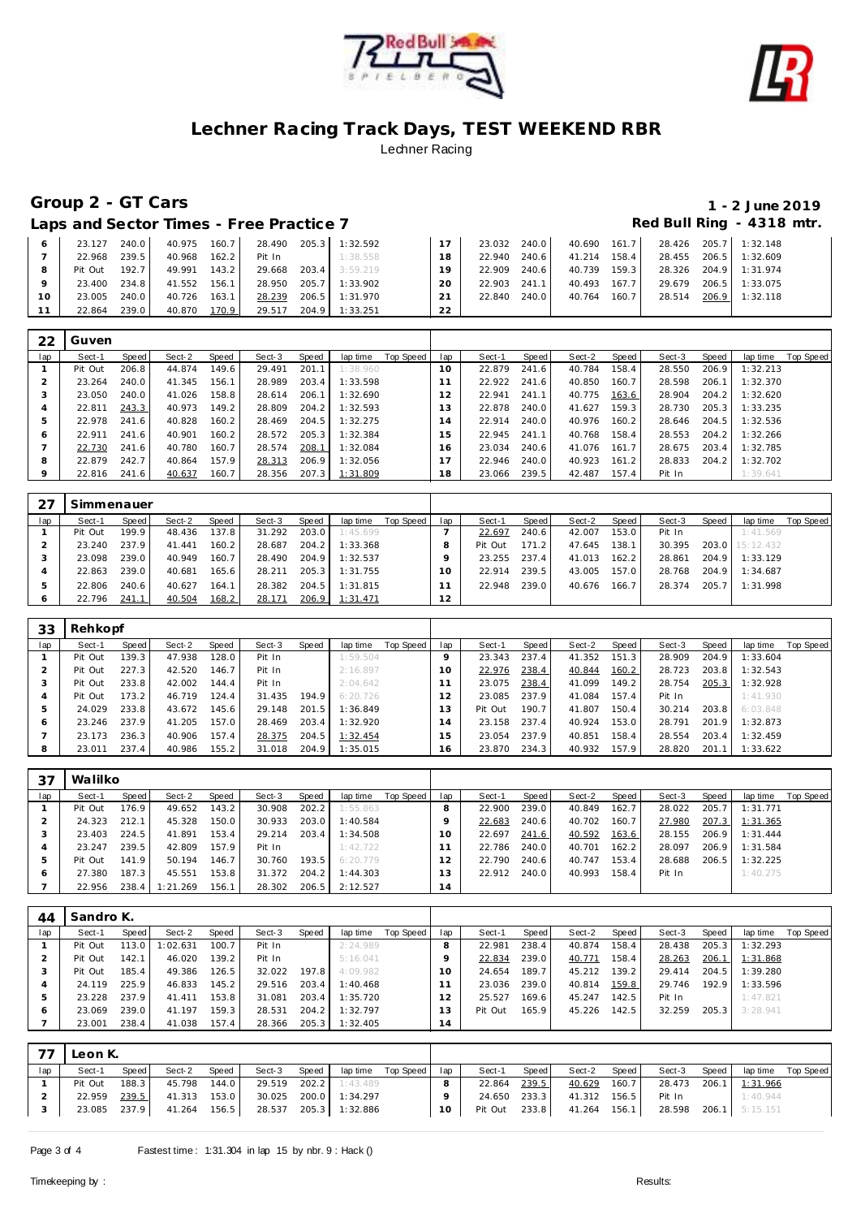



**Group 2 - GT Cars 1 - 2 June 2019**

Laps and Sector Times - Free Practice 7 **Access 20 Access 20 Access 20 Access 20 Access 20 Access 20 Access 20 Access** 20 Access 20 Access 20 Access 20 Access 20 Access 20 Access 20 Access 20 Access 20 Access 20 Access 20

|    | 23.127  | 240.0  | 40.975 | 160.7              | 28.490 | 205.3 | 1:32.592 |     | 23.032 | 240.0 | 40.690 | 161.7 | 28.426 | 205.7 | 1:32.148       |
|----|---------|--------|--------|--------------------|--------|-------|----------|-----|--------|-------|--------|-------|--------|-------|----------------|
|    | 22.968  | 239.51 | 40.968 | 162.2              | Pit In |       | 1:38.558 | 18  | 22.940 | 240.6 | 41.214 | 158.4 | 28.455 |       | 206.5 1:32.609 |
|    | Pit Out | 192.7  | 49.991 | 143.2              | 29.668 | 203.4 | 3:59.219 | 1 Q | 22.909 | 240.6 | 40.739 | 159.3 | 28.326 |       | 204.9 1:31.974 |
|    | 23.400  | 234.8  | 41.552 | 156.1              | 28.950 | 205.7 | : 33.902 | 20  | 22.903 | 241.1 | 40.493 | 167.7 | 29.679 | 206.5 | 1:33.075       |
| 10 | 23.005  | 240.0  | 40.726 | 163.1              | 28.239 | 206.5 | 1:31.970 |     | 22.840 | 240.0 | 40.764 | 160.7 | 28.514 | 206.9 | 1:32.118       |
|    | 22.864  | 239.0  | 40.870 | 170.9 <sub>1</sub> | 29.517 | 204.9 | 1:33.251 | つつ  |        |       |        |       |        |       |                |

| 22  | Guven   |       |        |       |        |       |          |           |     |        |       |        |       |        |       |          |           |
|-----|---------|-------|--------|-------|--------|-------|----------|-----------|-----|--------|-------|--------|-------|--------|-------|----------|-----------|
| lap | Sect-1  | Speed | Sect-2 | Speed | Sect-3 | Speed | lap time | Top Speed | lap | Sect-1 | Speed | Sect-2 | Speed | Sect-3 | Speed | lap time | Top Speed |
|     | Pit Out | 206.8 | 44.874 | 149.6 | 29.491 | 201.1 | 1:38.960 |           | 10  | 22.879 | 241.6 | 40.784 | 158.4 | 28.550 | 206.9 | 1:32.213 |           |
|     | 23.264  | 240.0 | 41.345 | 156.1 | 28.989 | 203.4 | 1:33.598 |           |     | 22.922 | 241.6 | 40.850 | 160.7 | 28.598 | 206.1 | 1:32.370 |           |
|     | 23.050  | 240.0 | 41.026 | 158.8 | 28.614 | 206.1 | 1:32.690 |           | 12  | 22.941 | 241.1 | 40.775 | 163.6 | 28.904 | 204.2 | 1:32.620 |           |
|     | 22.811  | 243.3 | 40.973 | 149.2 | 28.809 | 204.2 | 1:32.593 |           | 13  | 22.878 | 240.0 | 41.627 | 159.3 | 28.730 | 205.3 | 1:33.235 |           |
| h   | 22.978  | 241.6 | 40.828 | 160.2 | 28.469 | 204.5 | 1:32.275 |           | 14  | 22.914 | 240.0 | 40.976 | 160.2 | 28.646 | 204.5 | 1:32.536 |           |
| O   | 22.911  | 241.6 | 40.901 | 160.2 | 28.572 | 205.3 | 1:32.384 |           | 15  | 22.945 | 241.1 | 40.768 | 158.4 | 28.553 | 204.2 | 1:32.266 |           |
|     | 22.730  | 241.6 | 40.780 | 160.7 | 28.574 | 208.1 | 1:32.084 |           | 16. | 23.034 | 240.6 | 41.076 | 161.7 | 28.675 | 203.4 | 1:32.785 |           |
| 8   | 22.879  | 242.7 | 40.864 | 157.9 | 28.313 | 206.9 | 1:32.056 |           |     | 22.946 | 240.0 | 40.923 | 161.2 | 28.833 | 204.2 | 1:32.702 |           |
|     | 22.816  | 241.6 | 40.637 | 160.7 | 28.356 | 207.3 | 1:31.809 |           | 18  | 23.066 | 239.5 | 42.487 | 157.4 | Pit In |       | 1:39.641 |           |

|     | Simmenauer |       |        |       |        |       |          |           |     |         |       |        |       |        |       |                 |           |
|-----|------------|-------|--------|-------|--------|-------|----------|-----------|-----|---------|-------|--------|-------|--------|-------|-----------------|-----------|
| lap | Sect-1     | Speed | Sect-2 | Speed | Sect-3 | Speed | lap time | Top Speed | lap | Sect-1  | Speed | Sect-2 | Speed | Sect-3 | Speed | lap time        | Top Speed |
|     | Pit Out    | 199.9 | 48.436 | 137.8 | 31.292 | 203.0 | 1:45.699 |           |     | 22.697  | 240.6 | 42.007 | 153.0 | Pit In |       | 1:41.569        |           |
|     | 23.240     | 237.9 | 41.441 | 160.2 | 28.687 | 204.2 | 1:33.368 |           |     | Pit Out | 171.2 | 47.645 | 138.1 | 30.395 |       | 203.0 15:12.432 |           |
|     | 23.098     | 239.0 | 40.949 | 160.7 | 28.490 | 204.9 | 1:32.537 |           |     | 23.255  | 237.4 | 41.013 | 162.2 | 28.861 | 204.9 | 1:33.129        |           |
|     | 22.863     | 239.0 | 40.681 | 165.6 | 28.211 | 205.3 | 1:31.755 |           |     | 22.914  | 239.5 | 43.005 | 157.0 | 28.768 | 204.9 | 1:34.687        |           |
|     | 22.806     | 240.6 | 40.627 | 164.1 | 28.382 | 204.5 | 1:31.815 |           |     | 22.948  | 239.0 | 40.676 | 166.7 | 28.374 | 205.7 | 1:31.998        |           |
|     | 22.796     | 241.1 | 40.504 | 168.2 | 28.171 | 206.9 | 1:31.471 |           | 2   |         |       |        |       |        |       |                 |           |

| 33  | Rehkopf |       |        |       |        |       |          |           |               |         |       |        |       |        |       |          |           |
|-----|---------|-------|--------|-------|--------|-------|----------|-----------|---------------|---------|-------|--------|-------|--------|-------|----------|-----------|
| lap | Sect-1  | Speed | Sect-2 | Speed | Sect-3 | Speed | lap time | Top Speed | lap           | Sect-1  | Speed | Sect-2 | Speed | Sect-3 | Speed | lap time | Top Speed |
|     | Pit Out | 139.3 | 47.938 | 128.0 | Pit In |       | 1:59.504 |           |               | 23.343  | 237.4 | 41.352 | 151.3 | 28.909 | 204.9 | 1:33.604 |           |
|     | Pit Out | 227.3 | 42.520 | 146.7 | Pit In |       | 2:16.897 |           | 10            | 22.976  | 238.4 | 40.844 | 160.2 | 28.723 | 203.8 | 1:32.543 |           |
|     | Pit Out | 233.8 | 42.002 | 144.4 | Pit In |       | 2:04.642 |           |               | 23.075  | 238.4 | 41.099 | 149.2 | 28.754 | 205.3 | 1:32.928 |           |
| 4   | Pit Out | 173.2 | 46.719 | 124.4 | 31.435 | 194.9 | 6:20.726 |           | $\mathcal{P}$ | 23.085  | 237.9 | 41.084 | 157.4 | Pit In |       | 1:41.930 |           |
| b.  | 24.029  | 233.8 | 43.672 | 145.6 | 29.148 | 201.5 | 1:36.849 |           | 3             | Pit Out | 190.7 | 41.807 | 150.4 | 30.214 | 203.8 | 6:03.848 |           |
| O   | 23.246  | 237.9 | 41.205 | 157.0 | 28.469 | 203.4 | 1:32.920 |           | 4             | 23.158  | 237.4 | 40.924 | 153.0 | 28.791 | 201.9 | 1:32.873 |           |
|     | 23.173  | 236.3 | 40.906 | 157.4 | 28.375 | 204.5 | 1:32.454 |           | -5            | 23.054  | 237.9 | 40.851 | 158.4 | 28.554 | 203.4 | 1:32.459 |           |
| 8   | 23.011  | 237.4 | 40.986 | 155.2 | 31.018 | 204.9 | 1:35.015 |           | 16            | 23.870  | 234.3 | 40.932 | 157.9 | 28.820 | 201.1 | 1:33.622 |           |

| 37           | Walilko |       |          |       |        |       |          |           |     |        |       |        |       |        |       |          |           |
|--------------|---------|-------|----------|-------|--------|-------|----------|-----------|-----|--------|-------|--------|-------|--------|-------|----------|-----------|
| lap          | Sect-1  | Speed | Sect-2   | Speed | Sect-3 | Speed | lap time | Top Speed | lap | Sect-1 | Speed | Sect-2 | Speed | Sect-3 | Speed | lap time | Top Speed |
|              | Pit Out | 176.9 | 49.652   | 143.2 | 30.908 | 202.2 | 1:55.863 |           |     | 22.900 | 239.0 | 40.849 | 162.7 | 28.022 | 205.7 | 1:31.771 |           |
|              | 24.323  | 212.1 | 45.328   | 150.0 | 30.933 | 203.0 | 1:40.584 |           |     | 22.683 | 240.6 | 40.702 | 160.7 | 27.980 | 207.3 | 1:31.365 |           |
|              | 23.403  | 224.5 | 41.891   | 153.4 | 29.214 | 203.4 | 1:34.508 |           | 10  | 22.697 | 241.6 | 40.592 | 163.6 | 28.155 | 206.9 | 1:31.444 |           |
|              | 23.247  | 239.5 | 42.809   | 157.9 | Pit In |       | 1:42.722 |           |     | 22.786 | 240.0 | 40.701 | 162.2 | 28.097 | 206.9 | 1:31.584 |           |
|              | Pit Out | 141.9 | 50.194   | 146.7 | 30.760 | 193.5 | 6:20.779 |           |     | 22.790 | 240.6 | 40.747 | 153.4 | 28.688 | 206.5 | 1:32.225 |           |
| <sub>0</sub> | 27.380  | 187.3 | 45.551   | 153.8 | 31.372 | 204.2 | 1:44.303 |           | 3   | 22.912 | 240.0 | 40.993 | 158.4 | Pit In |       | 1:40.275 |           |
|              | 22.956  | 238.4 | 1:21.269 | 156.1 | 28.302 | 206.5 | 2:12.527 |           | 14  |        |       |        |       |        |       |          |           |

| 44  | Sandro K. |       |         |       |        |       |          |           |     |         |       |        |       |        |       |          |           |
|-----|-----------|-------|---------|-------|--------|-------|----------|-----------|-----|---------|-------|--------|-------|--------|-------|----------|-----------|
| lap | Sect-1    | Speed | Sect-2  | Speed | Sect-3 | Speed | lap time | Top Speed | lap | Sect-1  | Speed | Sect-2 | Speed | Sect-3 | Speed | lap time | Top Speed |
|     | Pit Out   | 113.0 | :02.631 | 100.7 | Pit In |       | 2:24.989 |           | 8   | 22.981  | 238.4 | 40.874 | 158.4 | 28.438 | 205.3 | 1:32.293 |           |
|     | Pit Out   | 142.1 | 46.020  | 139.2 | Pit In |       | 5:16.041 |           |     | 22.834  | 239.0 | 40.771 | 158.4 | 28.263 | 206.1 | 1:31.868 |           |
|     | Pit Out   | 185.4 | 49.386  | 126.5 | 32.022 | 197.8 | 4:09.982 |           | 10  | 24.654  | 189.7 | 45.212 | 139.2 | 29.414 | 204.5 | 1:39.280 |           |
|     | 24.119    | 225.9 | 46.833  | 145.2 | 29.516 | 203.4 | 1:40.468 |           |     | 23.036  | 239.0 | 40.814 | 159.8 | 29.746 | 192.9 | 1:33.596 |           |
|     | 23.228    | 237.9 | 41.411  | 153.8 | 31.081 | 203.4 | 1:35.720 |           |     | 25.527  | 169.6 | 45.247 | 142.5 | Pit In |       | 1:47.821 |           |
|     | 23.069    | 239.0 | 41.197  | 159.3 | 28.531 | 204.2 | 1:32.797 |           |     | Pit Out | 165.9 | 45.226 | 142.5 | 32.259 | 205.3 | 3:28.941 |           |
|     | 23.001    | 238.4 | 41.038  | 157.4 | 28.366 | 205.3 | 1:32.405 |           | 14  |         |       |        |       |        |       |          |           |

|     | Leon K.      |       |              |       |        |       |                       |                       |        |               |       |                     |       |                                    |       |          |                    |
|-----|--------------|-------|--------------|-------|--------|-------|-----------------------|-----------------------|--------|---------------|-------|---------------------|-------|------------------------------------|-------|----------|--------------------|
| lap | Sect-1       | Speed | Sect-2       | Speed | Sect-3 | Speed |                       | laptime Top Speed lap |        | Sect-1        | Speed | Sect-2              | Speed | Sect-3                             | Speed |          | lap time Top Speed |
|     | Pit Out      | 188.3 | 45.798       | 144.0 |        |       | 29.519 202.2 1:43.489 |                       | 8      | 22.864        | 239.5 |                     |       | 40.629 160.7 28.473 206.1 1:31.966 |       |          |                    |
|     | 22.959       | 239.5 | 41.313 153.0 |       |        |       | 30.025 200.0 1:34.297 |                       |        | 24.650 233.3  |       | 41.312 156.5 Pit In |       |                                    |       | 1:40.944 |                    |
|     | 23.085 237.9 |       | 41.264 156.5 |       |        |       | 28.537 205.3 1:32.886 |                       | $10-1$ | Pit Out 233.8 |       |                     |       | 41.264 156.1 28.598 206.1 5:15.151 |       |          |                    |